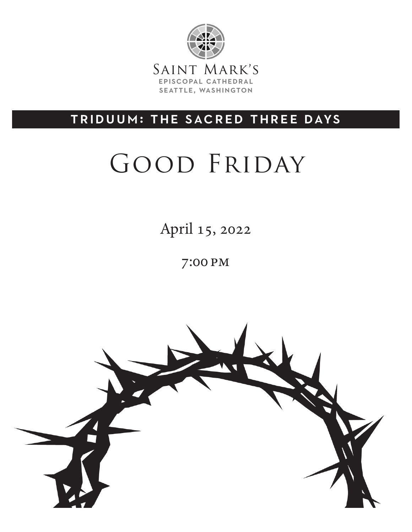

# triduum: the sacred three days

# GOOD FRIDAY

April 15, 2022

7:00 pm

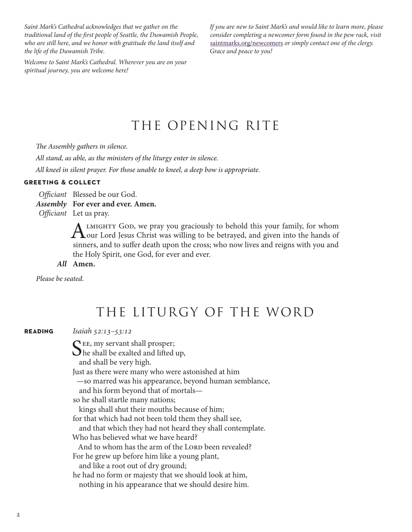*Saint Mark's Cathedral acknowledges that we gather on the traditional land of the first people of Seattle, the Duwamish People, who are still here, and we honor with gratitude the land itself and the life of the Duwamish Tribe.*

*Welcome to Saint Mark's Cathedral. Wherever you are on your spiritual journey, you are welcome here!*

*If you are new to Saint Mark's and would like to learn more, please consider completing a newcomer form found in the pew rack, visit*  saintmarks.org/newcomers *or simply contact one of the clergy. Grace and peace to you!*

# THE OPENING RITE

*The Assembly gathers in silence.*

*All stand, as able, as the ministers of the liturgy enter in silence. All kneel in silent prayer. For those unable to kneel, a deep bow is appropriate.*

#### **greeting & collect**

*Officiant* Blessed be our God.

#### *Assembly* **For ever and ever. Amen.**

*Officiant* Let us pray.

ALMIGHTY GOD, we pray you graciously to behold this your family, for whom<br>
our Lord Jesus Christ was willing to be betrayed, and given into the hands of<br>
sinners and to suffer doth when the grees who now lives and migne wi sinners, and to suffer death upon the cross; who now lives and reigns with you and the Holy Spirit, one God, for ever and ever.

*All* **Amen.**

*Please be seated.*

# THE LITURGY OF THE WORD

#### **reading** *Isaiah 52:13–53:12*

CEE, my servant shall prosper;

 $\bigcup$  he shall be exalted and lifted up,

and shall be very high.

Just as there were many who were astonished at him

—so marred was his appearance, beyond human semblance,

and his form beyond that of mortals—

so he shall startle many nations;

kings shall shut their mouths because of him;

for that which had not been told them they shall see,

and that which they had not heard they shall contemplate.

Who has believed what we have heard?

And to whom has the arm of the LORD been revealed?

For he grew up before him like a young plant,

and like a root out of dry ground;

he had no form or majesty that we should look at him, nothing in his appearance that we should desire him.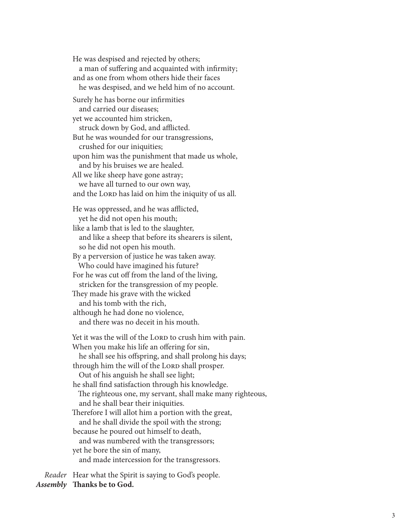He was despised and rejected by others; a man of suffering and acquainted with infirmity; and as one from whom others hide their faces he was despised, and we held him of no account. Surely he has borne our infirmities and carried our diseases; yet we accounted him stricken, struck down by God, and afflicted. But he was wounded for our transgressions, crushed for our iniquities; upon him was the punishment that made us whole, and by his bruises we are healed. All we like sheep have gone astray; we have all turned to our own way, and the LORD has laid on him the iniquity of us all. He was oppressed, and he was afflicted, yet he did not open his mouth; like a lamb that is led to the slaughter, and like a sheep that before its shearers is silent, so he did not open his mouth. By a perversion of justice he was taken away. Who could have imagined his future? For he was cut off from the land of the living, stricken for the transgression of my people. They made his grave with the wicked and his tomb with the rich, although he had done no violence, and there was no deceit in his mouth. Yet it was the will of the LORD to crush him with pain.

When you make his life an offering for sin, he shall see his offspring, and shall prolong his days; through him the will of the LORD shall prosper. Out of his anguish he shall see light; he shall find satisfaction through his knowledge. The righteous one, my servant, shall make many righteous, and he shall bear their iniquities. Therefore I will allot him a portion with the great, and he shall divide the spoil with the strong; because he poured out himself to death, and was numbered with the transgressors; yet he bore the sin of many, and made intercession for the transgressors.

*Reader* Hear what the Spirit is saying to God's people. *Assembly* **Thanks be to God.**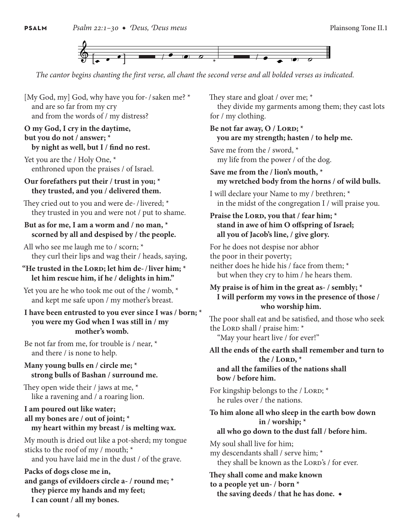

*The cantor begins chanting the first verse, all chant the second verse and all bolded verses as indicated.*

[My God, my] God, why have you for-/saken me? \* and are so far from my cry and from the words of / my distress?

### **O my God, I cry in the daytime, but you do not / answer; \* by night as well, but I / find no rest.**

Yet you are the / Holy One, \* enthroned upon the praises / of Israel.

### **Our forefathers put their / trust in you; \* they trusted, and you / delivered them.**

They cried out to you and were de-/livered; \* they trusted in you and were not / put to shame.

### **But as for me, I am a worm and / no man, \* scorned by all and despised by / the people.**

All who see me laugh me to / scorn; \* they curl their lips and wag their / heads, saying,

```
"He trusted in the Lord; let him de-/liver him; *
    let him rescue him, if he / delights in him."
```
Yet you are he who took me out of the / womb, \* and kept me safe upon / my mother's breast.

**I have been entrusted to you ever since I was / born; \* you were my God when I was still in / my mother's womb.**

Be not far from me, for trouble is / near, \* and there / is none to help.

### **Many young bulls en / circle me; \* strong bulls of Bashan / surround me.**

They open wide their / jaws at me, \* like a ravening and / a roaring lion.

**I am poured out like water; all my bones are / out of joint; \* my heart within my breast / is melting wax.**

My mouth is dried out like a pot-sherd; my tongue sticks to the roof of my / mouth; \*

and you have laid me in the dust / of the grave.

## **Packs of dogs close me in,**

**and gangs of evildoers circle a- / round me; \* they pierce my hands and my feet; I can count / all my bones.**

They stare and gloat / over me; \*

 they divide my garments among them; they cast lots for / my clothing.

Be not far away, O / LORD;  $*$  **you are my strength; hasten / to help me.**

Save me from the / sword, \* my life from the power / of the dog.

**Save me from the / lion's mouth, \* my wretched body from the horns / of wild bulls.**

I will declare your Name to my / brethren; \* in the midst of the congregation I / will praise you.

### Praise the LORD, you that / fear him;  $*$  **stand in awe of him O offspring of Israel; all you of Jacob's line, / give glory.**

For he does not despise nor abhor the poor in their poverty; neither does he hide his / face from them; \*

 but when they cry to him / he hears them. **My praise is of him in the great as- / sembly; \***

 **I will perform my vows in the presence of those / who worship him.**

The poor shall eat and be satisfied, and those who seek the LORD shall / praise him: \* "May your heart live / for ever!"

**All the ends of the earth shall remember and turn to**  the  $/$  LORD,  $*$  **and all the families of the nations shall bow / before him.**

For kingship belongs to the / LORD;  $*$ he rules over / the nations.

**To him alone all who sleep in the earth bow down in / worship; \* all who go down to the dust fall / before him.**

My soul shall live for him; my descendants shall / serve him; \* they shall be known as the LORD's / for ever.

**They shall come and make known to a people yet un- / born \* the saving deeds / that he has done. ◆**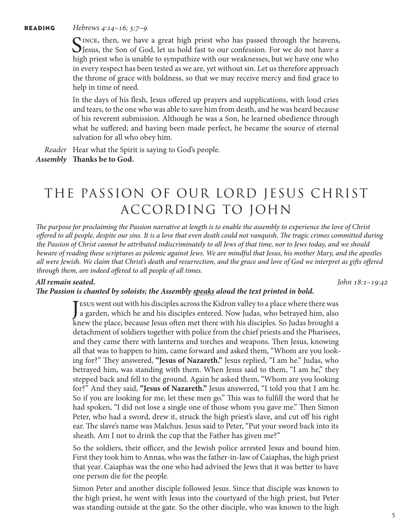### **reading** *Hebrews 4:14–16; 5:7–9*

 $\bigcap$  INCE, then, we have a great high priest who has passed through the heavens,  $\bigcup$ Jesus, the Son of God, let us hold fast to our confession. For we do not have a high priest who is unable to sympathize with our weaknesses, but we have one who in every respect has been tested as we are, yet without sin. Let us therefore approach the throne of grace with boldness, so that we may receive mercy and find grace to help in time of need.

In the days of his flesh, Jesus offered up prayers and supplications, with loud cries and tears, to the one who was able to save him from death, and he was heard because of his reverent submission. Although he was a Son, he learned obedience through what he suffered; and having been made perfect, he became the source of eternal salvation for all who obey him.

*Reader* Hear what the Spirit is saying to God's people. *Assembly* **Thanks be to God.**

# THE PASSION OF OUR LORD JESUS CHRIST ACCORDING TO JOHN

*The purpose for proclaiming the Passion narrative at length is to enable the assembly to experience the love of Christ offered to all people, despite our sins. It is a love that even death could not vanquish. The tragic crimes committed during the Passion of Christ cannot be attributed indiscriminately to all Jews of that time, nor to Jews today, and we should beware of reading these scriptures as polemic against Jews. We are mindful that Jesus, his mother Mary, and the apostles all were Jewish. We claim that Christ's death and resurrection, and the grace and love of God we interpret as gifts offered through them, are indeed offered to all people of all times.*

### *All remain seated. John 18:1–19:42*

### *The Passion is chanted by soloists; the Assembly speaks aloud the text printed in bold.*

Jesus went out with his disciples across the Kidron valley to a place where there was<br>a garden, which he and his disciples entered. Now Judas, who betrayed him, also **E** Esus went out with his disciples across the Kidron valley to a place where there was knew the place, because Jesus often met there with his disciples. So Judas brought a detachment of soldiers together with police from the chief priests and the Pharisees, and they came there with lanterns and torches and weapons. Then Jesus, knowing all that was to happen to him, came forward and asked them, "Whom are you looking for?" They answered, **"Jesus of Nazareth."** Jesus replied, "I am he." Judas, who betrayed him, was standing with them. When Jesus said to them, "I am he," they stepped back and fell to the ground. Again he asked them, "Whom are you looking for?" And they said, **"Jesus of Nazareth."** Jesus answered, "I told you that I am he. So if you are looking for me, let these men go." This was to fulfill the word that he had spoken, "I did not lose a single one of those whom you gave me." Then Simon Peter, who had a sword, drew it, struck the high priest's slave, and cut off his right ear. The slave's name was Malchus. Jesus said to Peter, "Put your sword back into its sheath. Am I not to drink the cup that the Father has given me?"

So the soldiers, their officer, and the Jewish police arrested Jesus and bound him. First they took him to Annas, who was the father-in-law of Caiaphas, the high priest that year. Caiaphas was the one who had advised the Jews that it was better to have one person die for the people.

Simon Peter and another disciple followed Jesus. Since that disciple was known to the high priest, he went with Jesus into the courtyard of the high priest, but Peter was standing outside at the gate. So the other disciple, who was known to the high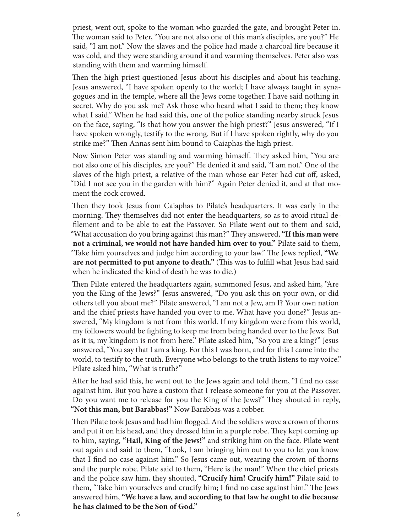priest, went out, spoke to the woman who guarded the gate, and brought Peter in. The woman said to Peter, "You are not also one of this man's disciples, are you?" He said, "I am not." Now the slaves and the police had made a charcoal fire because it was cold, and they were standing around it and warming themselves. Peter also was standing with them and warming himself.

Then the high priest questioned Jesus about his disciples and about his teaching. Jesus answered, "I have spoken openly to the world; I have always taught in synagogues and in the temple, where all the Jews come together. I have said nothing in secret. Why do you ask me? Ask those who heard what I said to them; they know what I said." When he had said this, one of the police standing nearby struck Jesus on the face, saying, "Is that how you answer the high priest?" Jesus answered, "If I have spoken wrongly, testify to the wrong. But if I have spoken rightly, why do you strike me?" Then Annas sent him bound to Caiaphas the high priest.

Now Simon Peter was standing and warming himself. They asked him, "You are not also one of his disciples, are you?" He denied it and said, "I am not." One of the slaves of the high priest, a relative of the man whose ear Peter had cut off, asked, "Did I not see you in the garden with him?" Again Peter denied it, and at that moment the cock crowed.

Then they took Jesus from Caiaphas to Pilate's headquarters. It was early in the morning. They themselves did not enter the headquarters, so as to avoid ritual defilement and to be able to eat the Passover. So Pilate went out to them and said, "What accusation do you bring against this man?" They answered, **"If this man were not a criminal, we would not have handed him over to you."** Pilate said to them, "Take him yourselves and judge him according to your law." The Jews replied, **"We are not permitted to put anyone to death."** (This was to fulfill what Jesus had said when he indicated the kind of death he was to die.)

Then Pilate entered the headquarters again, summoned Jesus, and asked him, "Are you the King of the Jews?" Jesus answered, "Do you ask this on your own, or did others tell you about me?" Pilate answered, "I am not a Jew, am I? Your own nation and the chief priests have handed you over to me. What have you done?" Jesus answered, "My kingdom is not from this world. If my kingdom were from this world, my followers would be fighting to keep me from being handed over to the Jews. But as it is, my kingdom is not from here." Pilate asked him, "So you are a king?" Jesus answered, "You say that I am a king. For this I was born, and for this I came into the world, to testify to the truth. Everyone who belongs to the truth listens to my voice." Pilate asked him, "What is truth?"

After he had said this, he went out to the Jews again and told them, "I find no case against him. But you have a custom that I release someone for you at the Passover. Do you want me to release for you the King of the Jews?" They shouted in reply, **"Not this man, but Barabbas!"** Now Barabbas was a robber.

Then Pilate took Jesus and had him flogged. And the soldiers wove a crown of thorns and put it on his head, and they dressed him in a purple robe. They kept coming up to him, saying, **"Hail, King of the Jews!"** and striking him on the face. Pilate went out again and said to them, "Look, I am bringing him out to you to let you know that I find no case against him." So Jesus came out, wearing the crown of thorns and the purple robe. Pilate said to them, "Here is the man!" When the chief priests and the police saw him, they shouted, **"Crucify him! Crucify him!"** Pilate said to them, "Take him yourselves and crucify him; I find no case against him." The Jews answered him, **"We have a law, and according to that law he ought to die because he has claimed to be the Son of God."**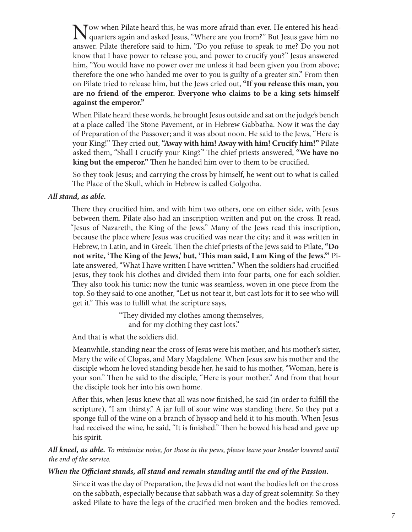Now when Pilate heard this, he was more afraid than ever. He entered his head-<br>quarters again and asked Jesus, "Where are you from?" But Jesus gave him no answer. Pilate therefore said to him, "Do you refuse to speak to me? Do you not know that I have power to release you, and power to crucify you?" Jesus answered him, "You would have no power over me unless it had been given you from above; therefore the one who handed me over to you is guilty of a greater sin." From then on Pilate tried to release him, but the Jews cried out, **"If you release this man, you are no friend of the emperor. Everyone who claims to be a king sets himself against the emperor."**

When Pilate heard these words, he brought Jesus outside and sat on the judge's bench at a place called The Stone Pavement, or in Hebrew Gabbatha. Now it was the day of Preparation of the Passover; and it was about noon. He said to the Jews, "Here is your King!" They cried out, **"Away with him! Away with him! Crucify him!"** Pilate asked them, "Shall I crucify your King?" The chief priests answered, **"We have no king but the emperor."** Then he handed him over to them to be crucified.

So they took Jesus; and carrying the cross by himself, he went out to what is called The Place of the Skull, which in Hebrew is called Golgotha.

### *All stand, as able.*

There they crucified him, and with him two others, one on either side, with Jesus between them. Pilate also had an inscription written and put on the cross. It read, "Jesus of Nazareth, the King of the Jews." Many of the Jews read this inscription, because the place where Jesus was crucified was near the city; and it was written in Hebrew, in Latin, and in Greek. Then the chief priests of the Jews said to Pilate, **"Do not write, 'The King of the Jews,' but, 'This man said, I am King of the Jews.'"** Pilate answered, "What I have written I have written." When the soldiers had crucified Jesus, they took his clothes and divided them into four parts, one for each soldier. They also took his tunic; now the tunic was seamless, woven in one piece from the top. So they said to one another, "Let us not tear it, but cast lots for it to see who will get it." This was to fulfill what the scripture says,

> "They divided my clothes among themselves, and for my clothing they cast lots."

And that is what the soldiers did.

Meanwhile, standing near the cross of Jesus were his mother, and his mother's sister, Mary the wife of Clopas, and Mary Magdalene. When Jesus saw his mother and the disciple whom he loved standing beside her, he said to his mother, "Woman, here is your son." Then he said to the disciple, "Here is your mother." And from that hour the disciple took her into his own home.

After this, when Jesus knew that all was now finished, he said (in order to fulfill the scripture), "I am thirsty." A jar full of sour wine was standing there. So they put a sponge full of the wine on a branch of hyssop and held it to his mouth. When Jesus had received the wine, he said, "It is finished." Then he bowed his head and gave up his spirit.

*All kneel, as able. To minimize noise, for those in the pews, please leave your kneeler lowered until the end of the service.*

### *When the Officiant stands, all stand and remain standing until the end of the Passion.*

Since it was the day of Preparation, the Jews did not want the bodies left on the cross on the sabbath, especially because that sabbath was a day of great solemnity. So they asked Pilate to have the legs of the crucified men broken and the bodies removed.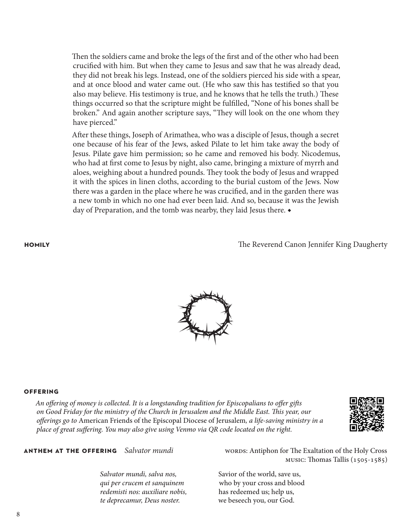Then the soldiers came and broke the legs of the first and of the other who had been crucified with him. But when they came to Jesus and saw that he was already dead, they did not break his legs. Instead, one of the soldiers pierced his side with a spear, and at once blood and water came out. (He who saw this has testified so that you also may believe. His testimony is true, and he knows that he tells the truth.) These things occurred so that the scripture might be fulfilled, "None of his bones shall be broken." And again another scripture says, "They will look on the one whom they have pierced."

After these things, Joseph of Arimathea, who was a disciple of Jesus, though a secret one because of his fear of the Jews, asked Pilate to let him take away the body of Jesus. Pilate gave him permission; so he came and removed his body. Nicodemus, who had at first come to Jesus by night, also came, bringing a mixture of myrrh and aloes, weighing about a hundred pounds. They took the body of Jesus and wrapped it with the spices in linen cloths, according to the burial custom of the Jews. Now there was a garden in the place where he was crucified, and in the garden there was a new tomb in which no one had ever been laid. And so, because it was the Jewish day of Preparation, and the tomb was nearby, they laid Jesus there. *◆*

**homily** The Reverend Canon Jennifer King Daugherty



#### **offering**

*An offering of money is collected. It is a longstanding tradition for Episcopalians to offer gifts on Good Friday for the ministry of the Church in Jerusalem and the Middle East. This year, our offerings go to* American Friends of the Episcopal Diocese of Jerusalem*, a life-saving ministry in a place of great suffering. You may also give using Venmo via QR code located on the right.*



*redemisti nos: auxiliare nobis,* has redeemed us; help us, *te deprecamur, Deus noster.* we beseech you, our God.

**ANTHEM AT THE OFFERING** Salvator mundi words: Antiphon for The Exaltation of the Holy Cross music: Thomas Tallis (1505-1585)

> *Salvator mundi, salva nos,* Savior of the world, save us, *qui per crucem et sanquinem* who by your cross and blood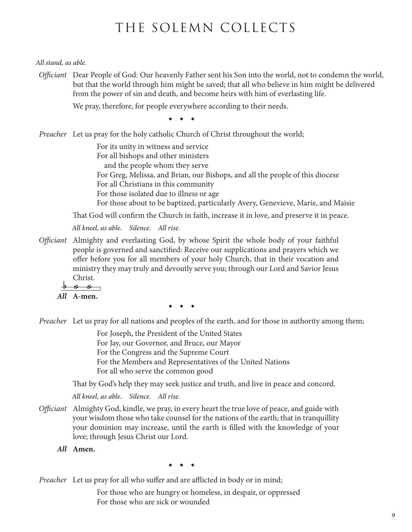# THE SOLEMN COLLECTS

### *All stand, as able.*

*Officiant* Dear People of God: Our heavenly Father sent his Son into the world, not to condemn the world, but that the world through him might be saved; that all who believe in him might be delivered from the power of sin and death, and become heirs with him of everlasting life.

We pray, therefore, for people everywhere according to their needs.

*◆ ◆ ◆*

*Preacher* Let us pray for the holy catholic Church of Christ throughout the world;

For its unity in witness and service For all bishops and other ministers and the people whom they serve For Greg, Melissa, and Brian, our Bishops, and all the people of this diocese For all Christians in this community For those isolated due to illness or age For those about to be baptized, particularly Avery, Genevieve, Marie, and Maisie

That God will confirm the Church in faith, increase it in love, and preserve it in peace.

*All kneel, as able. Silence. All rise.*

*Officiant* Almighty and everlasting God, by whose Spirit the whole body of your faithful people is governed and sanctified: Receive our supplications and prayers which we offer before you for all members of your holy Church, that in their vocation and ministry they may truly and devoutly serve you; through our Lord and Savior Jesus Christ.

$$
\frac{b}{All} \quad A\text{-men.}
$$

*◆ ◆ ◆*

*Preacher* Let us pray for all nations and peoples of the earth, and for those in authority among them;

For Joseph, the President of the United States For Jay, our Governor, and Bruce, our Mayor For the Congress and the Supreme Court For the Members and Representatives of the United Nations For all who serve the common good

That by God's help they may seek justice and truth, and live in peace and concord.

*All kneel, as able. Silence. All rise.*

- *Officiant* Almighty God, kindle, we pray, in every heart the true love of peace, and guide with your wisdom those who take counsel for the nations of the earth; that in tranquillity your dominion may increase, until the earth is filled with the knowledge of your love; through Jesus Christ our Lord.
	- *All* **Amen.**

*◆ ◆ ◆*

*Preacher* Let us pray for all who suffer and are afflicted in body or in mind;

For those who are hungry or homeless, in despair, or oppressed For those who are sick or wounded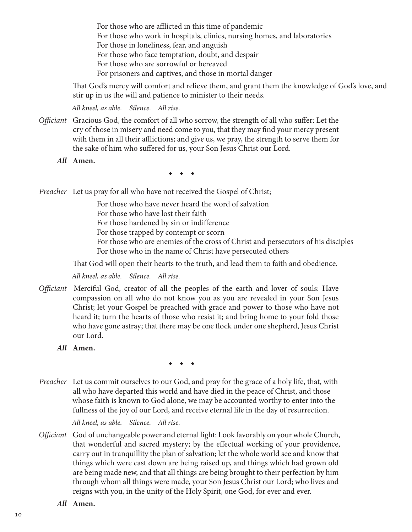For those who are afflicted in this time of pandemic For those who work in hospitals, clinics, nursing homes, and laboratories For those in loneliness, fear, and anguish For those who face temptation, doubt, and despair For those who are sorrowful or bereaved For prisoners and captives, and those in mortal danger

That God's mercy will comfort and relieve them, and grant them the knowledge of God's love, and stir up in us the will and patience to minister to their needs.

*All kneel, as able. Silence. All rise.*

- *Officiant* Gracious God, the comfort of all who sorrow, the strength of all who suffer: Let the cry of those in misery and need come to you, that they may find your mercy present with them in all their afflictions; and give us, we pray, the strength to serve them for the sake of him who suffered for us, your Son Jesus Christ our Lord.
	- *All* **Amen.**

*◆ ◆ ◆*

*Preacher* Let us pray for all who have not received the Gospel of Christ;

For those who have never heard the word of salvation

For those who have lost their faith

For those hardened by sin or indifference

For those trapped by contempt or scorn

For those who are enemies of the cross of Christ and persecutors of his disciples For those who in the name of Christ have persecuted others

That God will open their hearts to the truth, and lead them to faith and obedience.

*All kneel, as able. Silence. All rise.*

- *Officiant* Merciful God, creator of all the peoples of the earth and lover of souls: Have compassion on all who do not know you as you are revealed in your Son Jesus Christ; let your Gospel be preached with grace and power to those who have not heard it; turn the hearts of those who resist it; and bring home to your fold those who have gone astray; that there may be one flock under one shepherd, Jesus Christ our Lord.
	- *All* **Amen.**

*◆ ◆ ◆*

*Preacher* Let us commit ourselves to our God, and pray for the grace of a holy life, that, with all who have departed this world and have died in the peace of Christ, and those whose faith is known to God alone, we may be accounted worthy to enter into the fullness of the joy of our Lord, and receive eternal life in the day of resurrection.

*All kneel, as able. Silence. All rise.*

- *Officiant* God of unchangeable power and eternal light: Look favorably on your whole Church, that wonderful and sacred mystery; by the effectual working of your providence, carry out in tranquillity the plan of salvation; let the whole world see and know that things which were cast down are being raised up, and things which had grown old are being made new, and that all things are being brought to their perfection by him through whom all things were made, your Son Jesus Christ our Lord; who lives and reigns with you, in the unity of the Holy Spirit, one God, for ever and ever.
	- *All* **Amen.**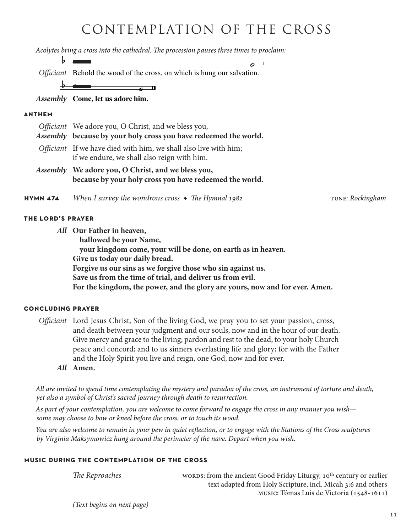# CONTEMPLATION OF THE CROSS

 $\overline{\phantom{0}}$ 

*Acolytes bring a cross into the cathedral. The procession pauses three times to proclaim:*

Officiant Behold the wood of the cross, on which is hung our salvation.

 $\overline{a}$  $\overline{P}$ 

*Assembly* Come, let us adore him.

### **anthem**

 $\rightarrow$ 

| <i>Officiant</i> We adore you, O Christ, and we bless you,<br>Assembly because by your holy cross you have redeemed the world. |  |
|--------------------------------------------------------------------------------------------------------------------------------|--|
| <i>Officiant</i> If we have died with him, we shall also live with him;<br>if we endure, we shall also reign with him.         |  |
| Assembly We adore you, O Christ, and we bless you,<br>because by your holy cross you have redeemed the world.                  |  |

**hymn 474** *When I survey the wondrous cross ◆ The Hymnal 1982* **the match of the** *TUNE: Rockingham* 

### **the lord's prayer**

*All* **Our Father in heaven, hallowed be your Name, your kingdom come, your will be done, on earth as in heaven. Give us today our daily bread. Forgive us our sins as we forgive those who sin against us. Save us from the time of trial, and deliver us from evil. For the kingdom, the power, and the glory are yours, now and for ever. Amen.**

### **concluding prayer**

- *Officiant* Lord Jesus Christ, Son of the living God, we pray you to set your passion, cross, and death between your judgment and our souls, now and in the hour of our death. Give mercy and grace to the living; pardon and rest to the dead; to your holy Church peace and concord; and to us sinners everlasting life and glory; for with the Father and the Holy Spirit you live and reign, one God, now and for ever.
	- *All* **Amen.**

*All are invited to spend time contemplating the mystery and paradox of the cross, an instrument of torture and death, yet also a symbol of Christ's sacred journey through death to resurrection.*

*As part of your contemplation, you are welcome to come forward to engage the cross in any manner you wish some may choose to bow or kneel before the cross, or to touch its wood.* 

*You are also welcome to remain in your pew in quiet reflection, or to engage with the Stations of the Cross sculptures by Virginia Maksymowicz hung around the perimeter of the nave. Depart when you wish.*

### **music during the contemplation of the cross**

| The Reproaches | WORDS: from the ancient Good Friday Liturgy, 10 <sup>th</sup> century or earlier |
|----------------|----------------------------------------------------------------------------------|
|                | text adapted from Holy Scripture, incl. Micah 3:6 and others                     |
|                | MUSIC: Tómas Luis de Victoria (1548-1611)                                        |

*(Text begins on next page)*